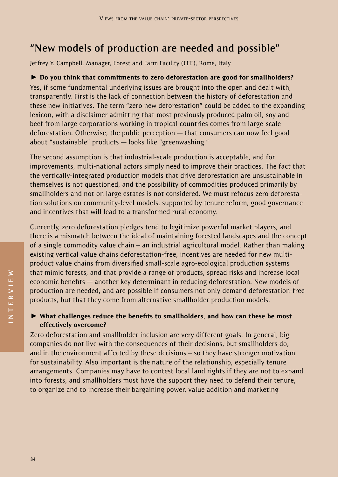## **"New models of production are needed and possible"**

Jeffrey Y. Campbell, Manager, Forest and Farm Facility (FFF), Rome, Italy

 $\triangleright$  Do you think that commitments to zero deforestation are good for smallholders? Yes, if some fundamental underlying issues are brought into the open and dealt with, transparently. First is the lack of connection between the history of deforestation and these new initiatives. The term "zero new deforestation" could be added to the expanding lexicon, with a disclaimer admitting that most previously produced palm oil, soy and beef from large corporations working in tropical countries comes from large-scale deforestation. Otherwise, the public perception — that consumers can now feel good about "sustainable" products — looks like "greenwashing."

The second assumption is that industrial-scale production is acceptable, and for improvements, multi-national actors simply need to improve their practices. The fact that the vertically-integrated production models that drive deforestation are unsustainable in themselves is not questioned, and the possibility of commodities produced primarily by smallholders and not on large estates is not considered. We must refocus zero deforestation solutions on community-level models, supported by tenure reform, good governance and incentives that will lead to a transformed rural economy.

Currently, zero deforestation pledges tend to legitimize powerful market players, and there is a mismatch between the ideal of maintaining forested landscapes and the concept of a single commodity value chain – an industrial agricultural model. Rather than making existing vertical value chains deforestation-free, incentives are needed for new multiproduct value chains from diversified small-scale agro-ecological production systems that mimic forests, and that provide a range of products, spread risks and increase local economic benefits — another key determinant in reducing deforestation. New models of production are needed, and are possible if consumers not only demand deforestation-free products, but that they come from alternative smallholder production models.

 $\triangleright$  What challenges reduce the benefits to smallholders, and how can these be most effectively overcome?

Zero deforestation and smallholder inclusion are very different goals. In general, big companies do not live with the consequences of their decisions, but smallholders do, and in the environment affected by these decisions – so they have stronger motivation for sustainability. Also important is the nature of the relationship, especially tenure arrangements. Companies may have to contest local land rights if they are not to expand into forests, and smallholders must have the support they need to defend their tenure, to organize and to increase their bargaining power, value addition and marketing